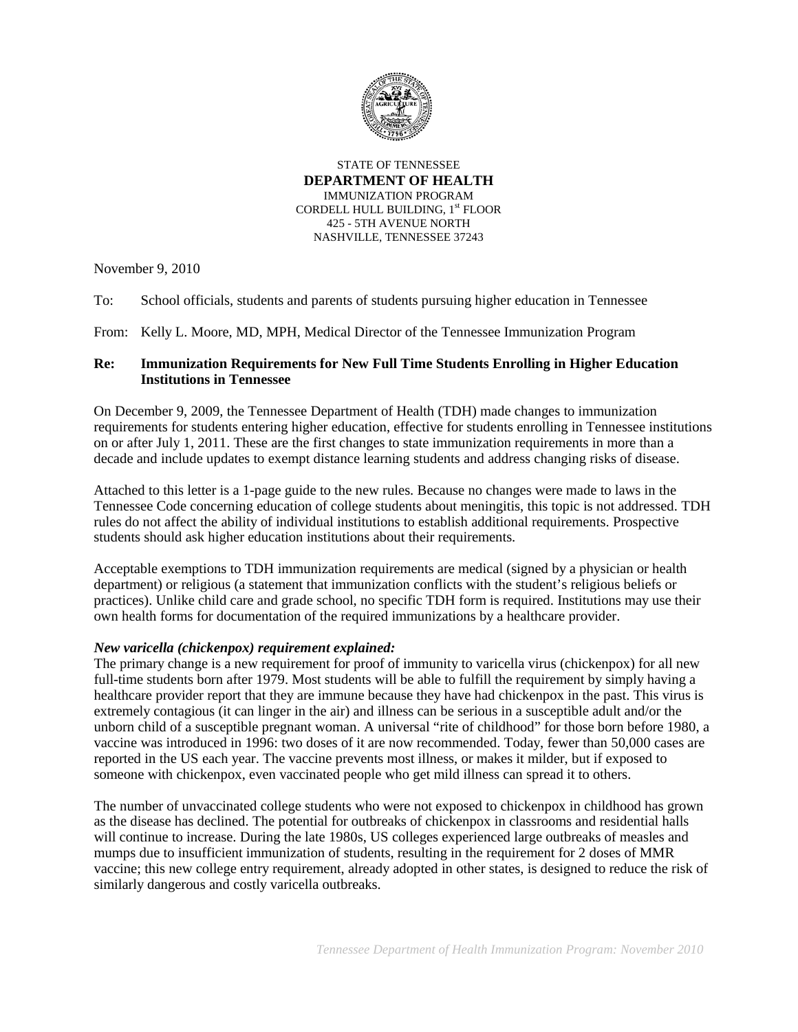

STATE OF TENNESSEE **DEPARTMENT OF HEALTH** IMMUNIZATION PROGRAM CORDELL HULL BUILDING, 1st FLOOR 425 - 5TH AVENUE NORTH NASHVILLE, TENNESSEE 37243

November 9, 2010

To: School officials, students and parents of students pursuing higher education in Tennessee

From: Kelly L. Moore, MD, MPH, Medical Director of the Tennessee Immunization Program

## **Re: Immunization Requirements for New Full Time Students Enrolling in Higher Education Institutions in Tennessee**

On December 9, 2009, the Tennessee Department of Health (TDH) made changes to immunization requirements for students entering higher education, effective for students enrolling in Tennessee institutions on or after July 1, 2011. These are the first changes to state immunization requirements in more than a decade and include updates to exempt distance learning students and address changing risks of disease.

Attached to this letter is a 1-page guide to the new rules. Because no changes were made to laws in the Tennessee Code concerning education of college students about meningitis, this topic is not addressed. TDH rules do not affect the ability of individual institutions to establish additional requirements. Prospective students should ask higher education institutions about their requirements.

Acceptable exemptions to TDH immunization requirements are medical (signed by a physician or health department) or religious (a statement that immunization conflicts with the student's religious beliefs or practices). Unlike child care and grade school, no specific TDH form is required. Institutions may use their own health forms for documentation of the required immunizations by a healthcare provider.

# *New varicella (chickenpox) requirement explained:*

The primary change is a new requirement for proof of immunity to varicella virus (chickenpox) for all new full-time students born after 1979. Most students will be able to fulfill the requirement by simply having a healthcare provider report that they are immune because they have had chickenpox in the past. This virus is extremely contagious (it can linger in the air) and illness can be serious in a susceptible adult and/or the unborn child of a susceptible pregnant woman. A universal "rite of childhood" for those born before 1980, a vaccine was introduced in 1996: two doses of it are now recommended. Today, fewer than 50,000 cases are reported in the US each year. The vaccine prevents most illness, or makes it milder, but if exposed to someone with chickenpox, even vaccinated people who get mild illness can spread it to others.

The number of unvaccinated college students who were not exposed to chickenpox in childhood has grown as the disease has declined. The potential for outbreaks of chickenpox in classrooms and residential halls will continue to increase. During the late 1980s, US colleges experienced large outbreaks of measles and mumps due to insufficient immunization of students, resulting in the requirement for 2 doses of MMR vaccine; this new college entry requirement, already adopted in other states, is designed to reduce the risk of similarly dangerous and costly varicella outbreaks.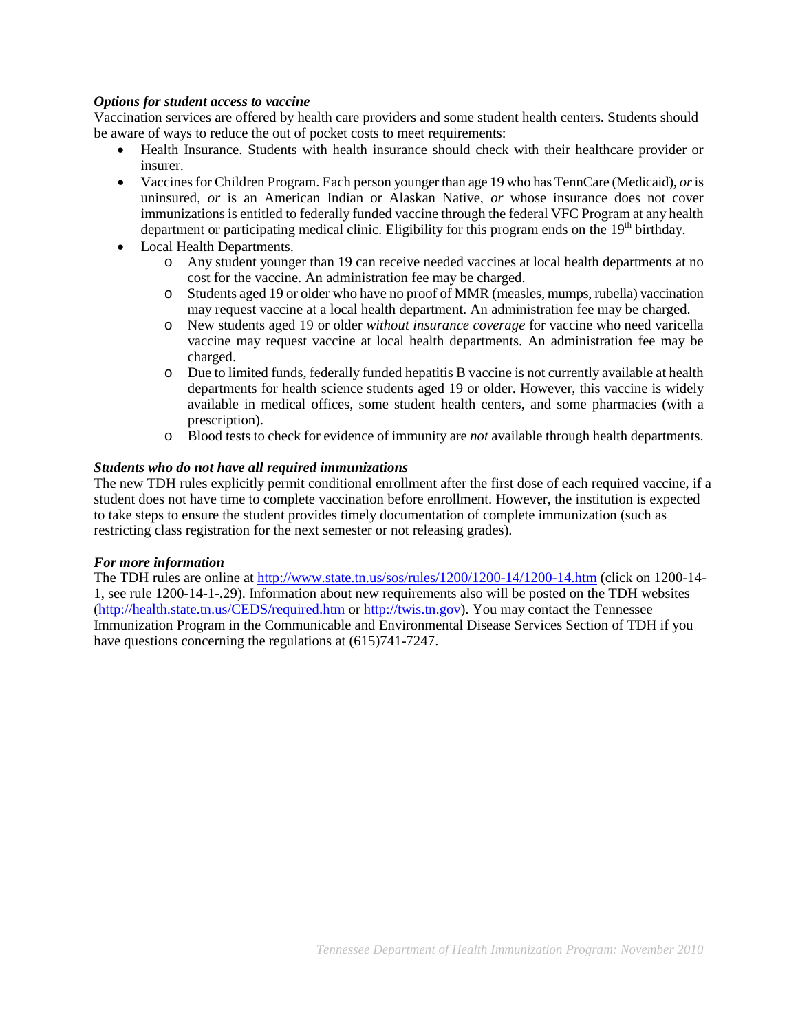## *Options for student access to vaccine*

Vaccination services are offered by health care providers and some student health centers. Students should be aware of ways to reduce the out of pocket costs to meet requirements:

- Health Insurance. Students with health insurance should check with their healthcare provider or insurer.
- Vaccines for Children Program. Each person younger than age 19 who has TennCare (Medicaid), *or*is uninsured, *or* is an American Indian or Alaskan Native, *or* whose insurance does not cover immunizations is entitled to federally funded vaccine through the federal VFC Program at any health department or participating medical clinic. Eligibility for this program ends on the  $19<sup>th</sup>$  birthday.
- Local Health Departments.
	- o Any student younger than 19 can receive needed vaccines at local health departments at no cost for the vaccine. An administration fee may be charged.
	- o Students aged 19 or older who have no proof of MMR (measles, mumps, rubella) vaccination may request vaccine at a local health department. An administration fee may be charged.
	- o New students aged 19 or older *without insurance coverage* for vaccine who need varicella vaccine may request vaccine at local health departments. An administration fee may be charged.
	- o Due to limited funds, federally funded hepatitis B vaccine is not currently available at health departments for health science students aged 19 or older. However, this vaccine is widely available in medical offices, some student health centers, and some pharmacies (with a prescription).
	- o Blood tests to check for evidence of immunity are *not* available through health departments.

## *Students who do not have all required immunizations*

The new TDH rules explicitly permit conditional enrollment after the first dose of each required vaccine, if a student does not have time to complete vaccination before enrollment. However, the institution is expected to take steps to ensure the student provides timely documentation of complete immunization (such as restricting class registration for the next semester or not releasing grades).

#### *For more information*

The TDH rules are online at<http://www.state.tn.us/sos/rules/1200/1200-14/1200-14.htm> (click on 1200-14- 1, see rule 1200-14-1-.29). Information about new requirements also will be posted on the TDH websites [\(http://health.state.tn.us/CEDS/required.htm](http://health.state.tn.us/CEDS/required.htm) or [http://twis.tn.gov\)](http://twis.tn.gov/). You may contact the Tennessee Immunization Program in the Communicable and Environmental Disease Services Section of TDH if you have questions concerning the regulations at (615)741-7247.